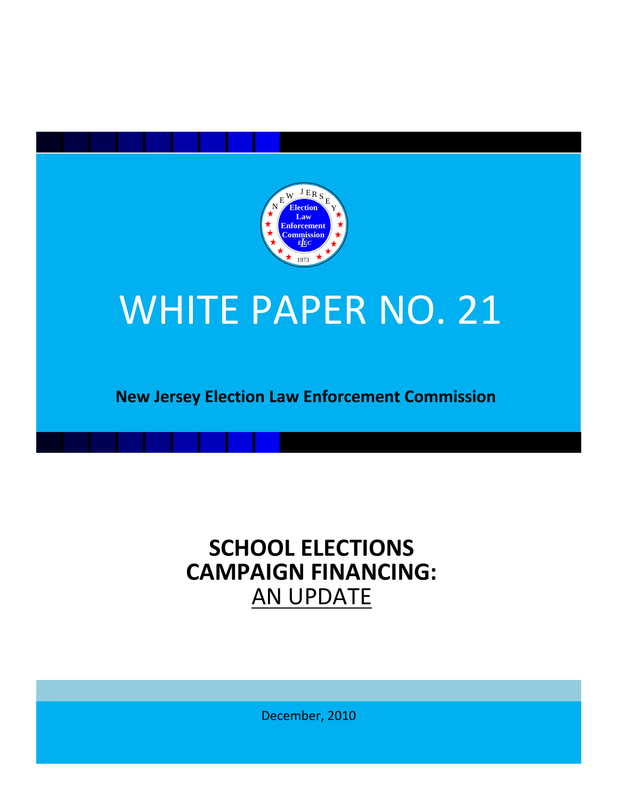

## WHITE PAPER NO. 21

**New Jersey Election Law Enforcement Commission**

# **SCHOOL ELECTIONS<br>
<b>CAMPAIGN FINANCING:**<br>
AN UPDATE

December, 2010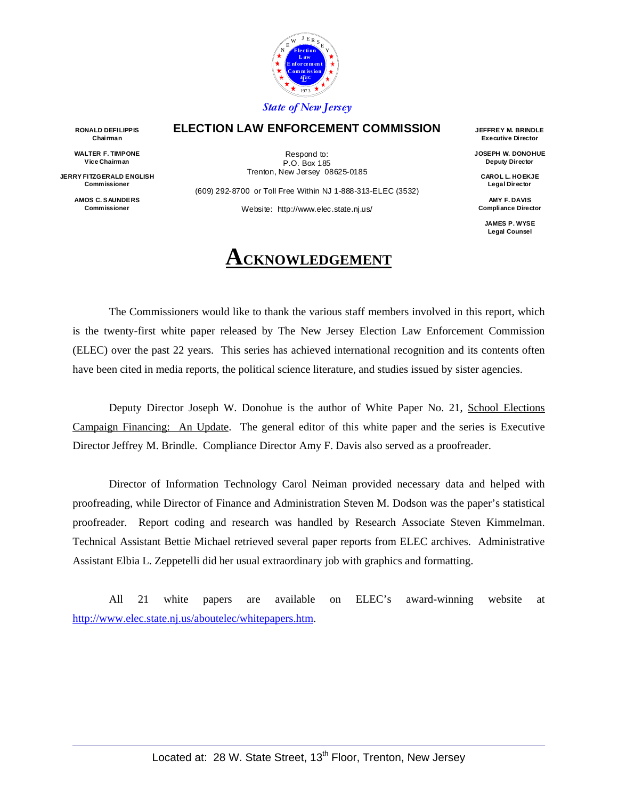

#### **ELECTION LAW ENFORCEMENT COMMISSION**

**RONALD DEFILIPPIS Chairman** 

**WALTER F. TIMPONE Vice Chairman** 

**JERRY FITZGERALD ENGLISH Commissioner** 

> **AMOS C. SAUNDERS Commissioner**

Respond to: P.O. Box 185 Trenton, New Jersey 08625-0185

(609) 292-8700 or Toll Free Within NJ 1-888-313-ELEC (3532)

Website: http://www.elec.state.nj.us/

### **CKNOWLEDGEMENT**

**JEFFREY M. BRINDLE Executive Director** 

**JOSEPH W. DONOHUE Deputy Director** 

**CAROL L. HOEKJE Legal Director** 

**AMY F. DAVIS Compliance Director** 

**JAMES P. WYSE Legal Counsel** 

The Commissioners would like to thank the various staff members involved in this report, which is the twenty-first white paper released by The New Jersey Election Law Enforcement Commission (ELEC) over the past 22 years. This series has achieved international recognition and its contents often have been cited in media reports, the political science literature, and studies issued by sister agencies.

Deputy Director Joseph W. Donohue is the author of White Paper No. 21, School Elections Campaign Financing: An Update. The general editor of this white paper and the series is Executive Director Jeffrey M. Brindle. Compliance Director Amy F. Davis also served as a proofreader.

Director of Information Technology Carol Neiman provided necessary data and helped with proofreading, while Director of Finance and Administration Steven M. Dodson was the paper's statistical proofreader. Report coding and research was handled by Research Associate Steven Kimmelman. Technical Assistant Bettie Michael retrieved several paper reports from ELEC archives. Administrative Assistant Elbia L. Zeppetelli did her usual extraordinary job with graphics and formatting.

All 21 white papers are available on ELEC's award-winning website at http://www.elec.state.nj.us/aboutelec/whitepapers.htm.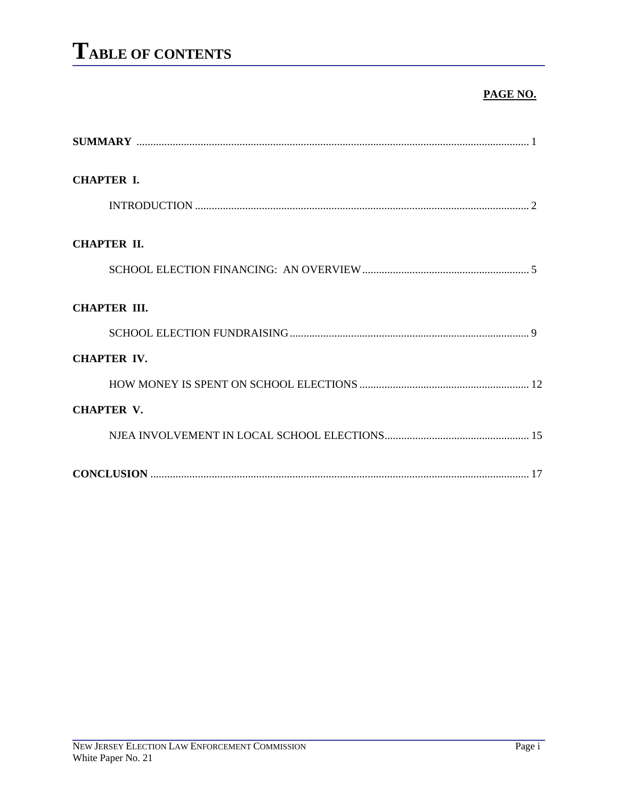#### **PAGE NO.**

| <b>CHAPTER I.</b>   |
|---------------------|
|                     |
| <b>CHAPTER II.</b>  |
|                     |
| <b>CHAPTER III.</b> |
|                     |
| <b>CHAPTER IV.</b>  |
|                     |
| <b>CHAPTER V.</b>   |
|                     |
|                     |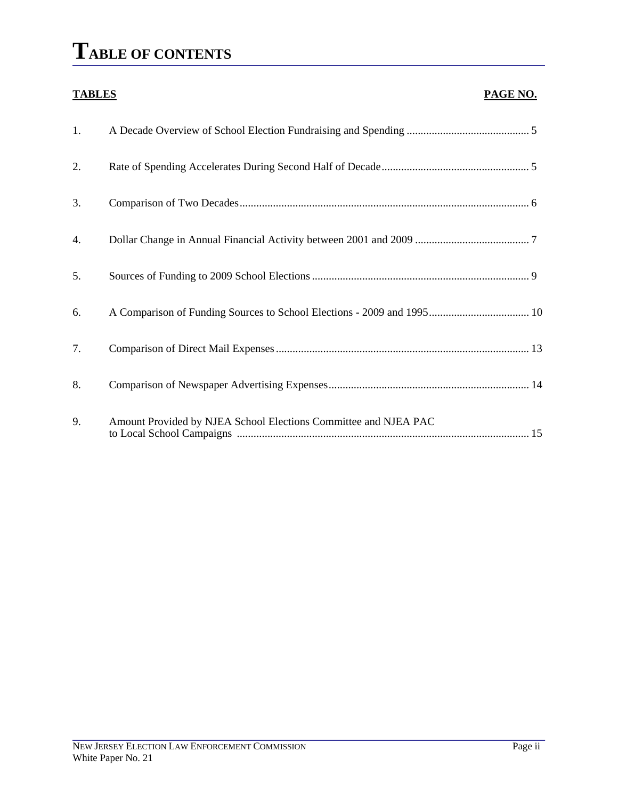### **TABLE OF CONTENTS**

#### **TABLES** PAGE NO.

| 1. |                                                                 |  |
|----|-----------------------------------------------------------------|--|
| 2. |                                                                 |  |
| 3. |                                                                 |  |
| 4. |                                                                 |  |
| 5. |                                                                 |  |
| 6. |                                                                 |  |
| 7. |                                                                 |  |
| 8. |                                                                 |  |
| 9. | Amount Provided by NJEA School Elections Committee and NJEA PAC |  |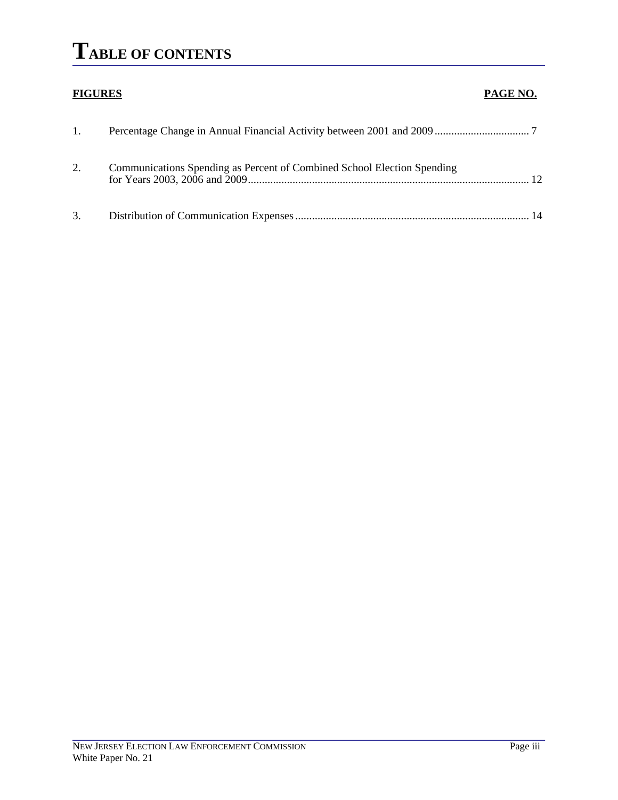### **TABLE OF CONTENTS**

### **FIGURES PAGE NO.** 1. Percentage Change in Annual Financial Activity between 2001 and 2009 .................................. 7 2. Communications Spending as Percent of Combined School Election Spending for Years 2003, 2006 and 2009..................................................................................................... 12 3. Distribution of Communication Expenses .................................................................................... 14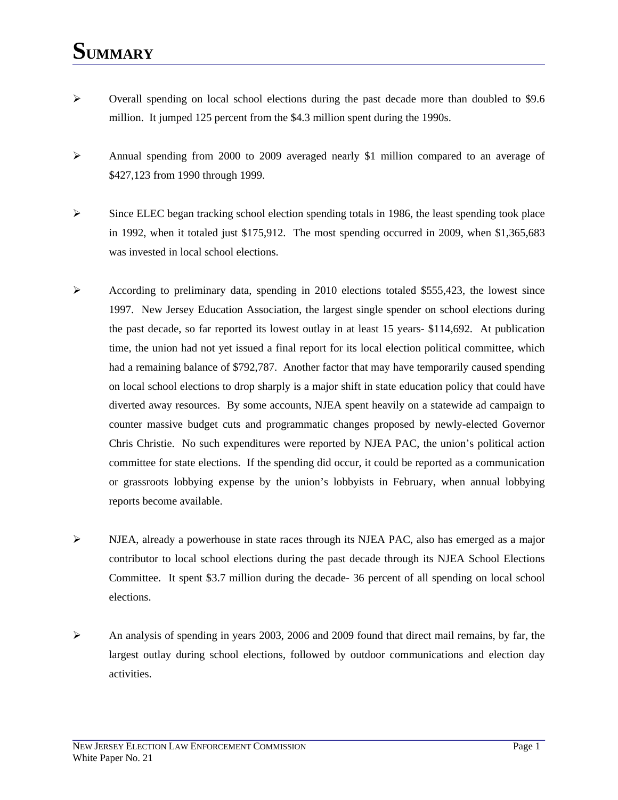### **SUMMARY**

- $\blacktriangleright$  Overall spending on local school elections during the past decade more than doubled to \$9.6 million. It jumped 125 percent from the \$4.3 million spent during the 1990s.
- ¾ Annual spending from 2000 to 2009 averaged nearly \$1 million compared to an average of \$427,123 from 1990 through 1999.
- $\triangleright$  Since ELEC began tracking school election spending totals in 1986, the least spending took place in 1992, when it totaled just \$175,912. The most spending occurred in 2009, when \$1,365,683 was invested in local school elections.
- $\triangleright$  According to preliminary data, spending in 2010 elections totaled \$555,423, the lowest since 1997. New Jersey Education Association, the largest single spender on school elections during the past decade, so far reported its lowest outlay in at least 15 years- \$114,692. At publication time, the union had not yet issued a final report for its local election political committee, which had a remaining balance of \$792,787. Another factor that may have temporarily caused spending on local school elections to drop sharply is a major shift in state education policy that could have diverted away resources. By some accounts, NJEA spent heavily on a statewide ad campaign to counter massive budget cuts and programmatic changes proposed by newly-elected Governor Chris Christie. No such expenditures were reported by NJEA PAC, the union's political action committee for state elections. If the spending did occur, it could be reported as a communication or grassroots lobbying expense by the union's lobbyists in February, when annual lobbying reports become available.
- $\triangleright$  NJEA, already a powerhouse in state races through its NJEA PAC, also has emerged as a major contributor to local school elections during the past decade through its NJEA School Elections Committee. It spent \$3.7 million during the decade- 36 percent of all spending on local school elections.
- ¾ An analysis of spending in years 2003, 2006 and 2009 found that direct mail remains, by far, the largest outlay during school elections, followed by outdoor communications and election day activities.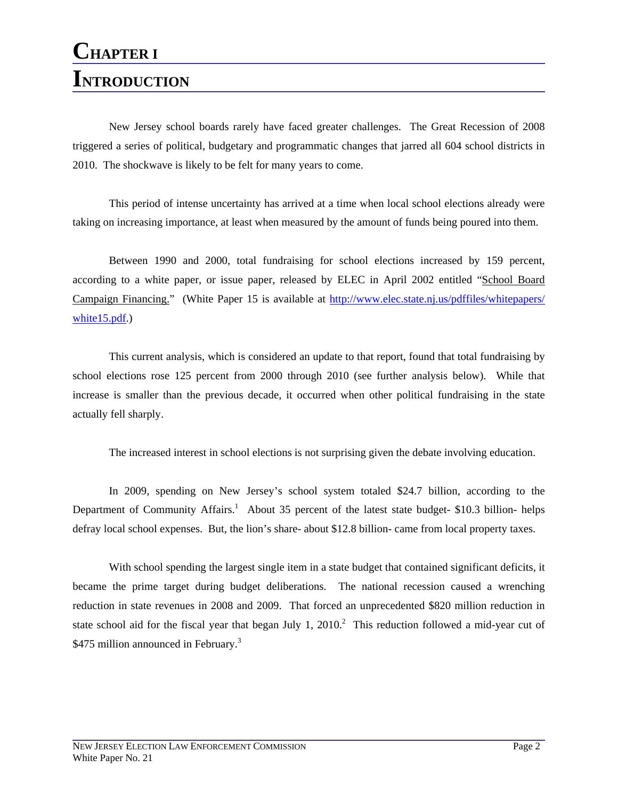### **CHAPTER I INTRODUCTION**

 New Jersey school boards rarely have faced greater challenges. The Great Recession of 2008 triggered a series of political, budgetary and programmatic changes that jarred all 604 school districts in 2010. The shockwave is likely to be felt for many years to come.

 This period of intense uncertainty has arrived at a time when local school elections already were taking on increasing importance, at least when measured by the amount of funds being poured into them.

 Between 1990 and 2000, total fundraising for school elections increased by 159 percent, according to a white paper, or issue paper, released by ELEC in April 2002 entitled "School Board Campaign Financing." (White Paper 15 is available at http://www.elec.state.nj.us/pdffiles/whitepapers/ white15.pdf.)

 This current analysis, which is considered an update to that report, found that total fundraising by school elections rose 125 percent from 2000 through 2010 (see further analysis below). While that increase is smaller than the previous decade, it occurred when other political fundraising in the state actually fell sharply.

The increased interest in school elections is not surprising given the debate involving education.

 In 2009, spending on New Jersey's school system totaled \$24.7 billion, according to the Department of Community Affairs.<sup>1</sup> About 35 percent of the latest state budget- \$10.3 billion- helps defray local school expenses. But, the lion's share- about \$12.8 billion- came from local property taxes.

 With school spending the largest single item in a state budget that contained significant deficits, it became the prime target during budget deliberations. The national recession caused a wrenching reduction in state revenues in 2008 and 2009. That forced an unprecedented \$820 million reduction in state school aid for the fiscal year that began July 1,  $2010$ .<sup>2</sup> This reduction followed a mid-year cut of \$475 million announced in February.<sup>3</sup>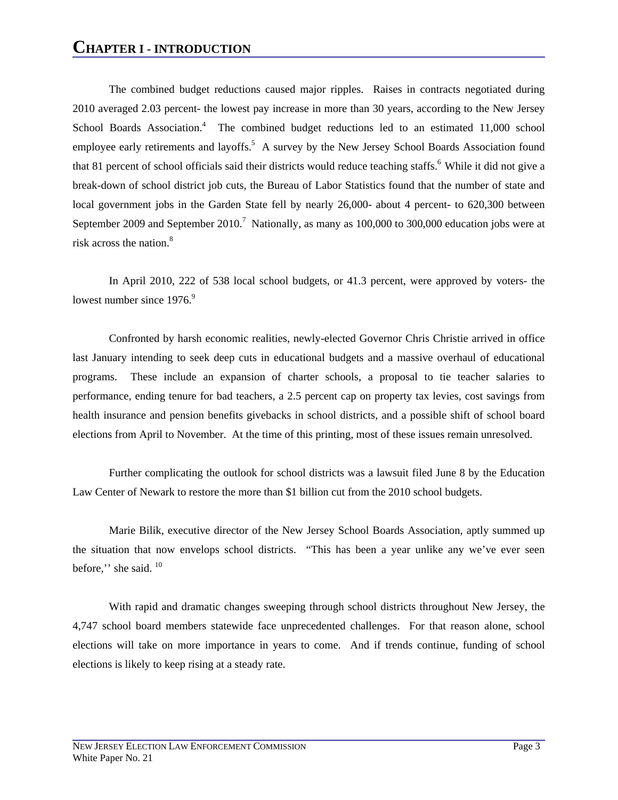The combined budget reductions caused major ripples. Raises in contracts negotiated during 2010 averaged 2.03 percent- the lowest pay increase in more than 30 years, according to the New Jersey School Boards Association.<sup>4</sup> The combined budget reductions led to an estimated 11,000 school employee early retirements and layoffs.<sup>5</sup> A survey by the New Jersey School Boards Association found that 81 percent of school officials said their districts would reduce teaching staffs.<sup>6</sup> While it did not give a break-down of school district job cuts, the Bureau of Labor Statistics found that the number of state and local government jobs in the Garden State fell by nearly 26,000- about 4 percent- to 620,300 between September 2009 and September 2010.<sup>7</sup> Nationally, as many as  $100,000$  to 300,000 education jobs were at risk across the nation.<sup>8</sup>

 In April 2010, 222 of 538 local school budgets, or 41.3 percent, were approved by voters- the lowest number since  $1976$ .<sup>9</sup>

 Confronted by harsh economic realities, newly-elected Governor Chris Christie arrived in office last January intending to seek deep cuts in educational budgets and a massive overhaul of educational programs. These include an expansion of charter schools, a proposal to tie teacher salaries to performance, ending tenure for bad teachers, a 2.5 percent cap on property tax levies, cost savings from health insurance and pension benefits givebacks in school districts, and a possible shift of school board elections from April to November. At the time of this printing, most of these issues remain unresolved.

 Further complicating the outlook for school districts was a lawsuit filed June 8 by the Education Law Center of Newark to restore the more than \$1 billion cut from the 2010 school budgets.

 Marie Bilik, executive director of the New Jersey School Boards Association, aptly summed up the situation that now envelops school districts. "This has been a year unlike any we've ever seen before," she said.  $10$ 

 With rapid and dramatic changes sweeping through school districts throughout New Jersey, the 4,747 school board members statewide face unprecedented challenges. For that reason alone, school elections will take on more importance in years to come. And if trends continue, funding of school elections is likely to keep rising at a steady rate.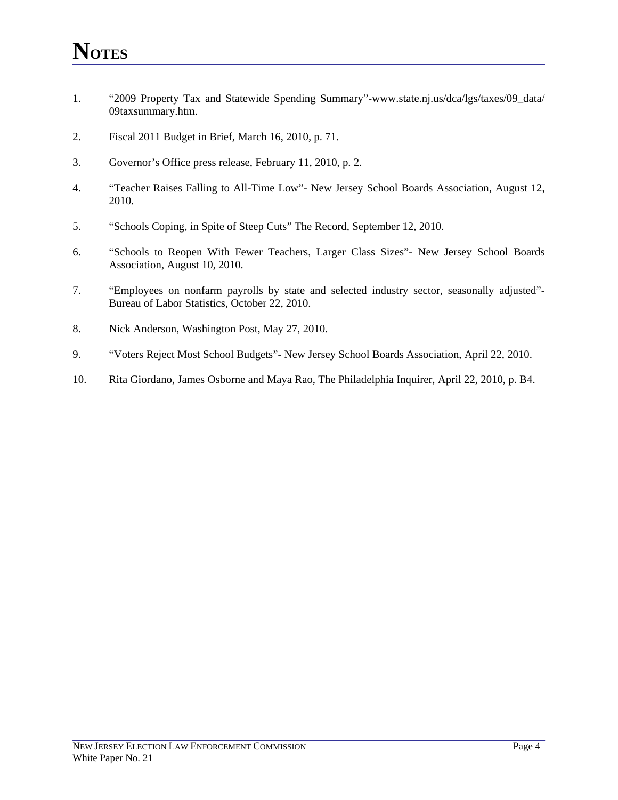- 1. "2009 Property Tax and Statewide Spending Summary"-www.state.nj.us/dca/lgs/taxes/09\_data/ 09taxsummary.htm.
- 2. Fiscal 2011 Budget in Brief, March 16, 2010, p. 71.
- 3. Governor's Office press release, February 11, 2010, p. 2.
- 4. "Teacher Raises Falling to All-Time Low"- New Jersey School Boards Association, August 12, 2010.
- 5. "Schools Coping, in Spite of Steep Cuts" The Record, September 12, 2010.
- 6. "Schools to Reopen With Fewer Teachers, Larger Class Sizes"- New Jersey School Boards Association, August 10, 2010.
- 7. "Employees on nonfarm payrolls by state and selected industry sector, seasonally adjusted"- Bureau of Labor Statistics, October 22, 2010.
- 8. Nick Anderson, Washington Post, May 27, 2010.
- 9. "Voters Reject Most School Budgets"- New Jersey School Boards Association, April 22, 2010.
- 10. Rita Giordano, James Osborne and Maya Rao, The Philadelphia Inquirer, April 22, 2010, p. B4.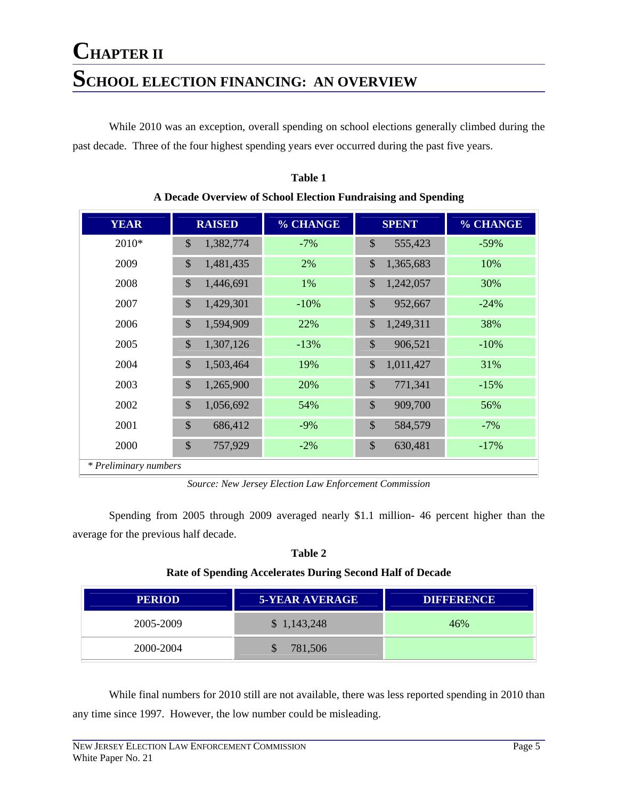### **CHAPTER II SCHOOL ELECTION FINANCING: AN OVERVIEW**

 While 2010 was an exception, overall spending on school elections generally climbed during the past decade. Three of the four highest spending years ever occurred during the past five years.

| <b>YEAR</b>           | <b>RAISED</b>              | % CHANGE | <b>SPENT</b>               | % CHANGE |
|-----------------------|----------------------------|----------|----------------------------|----------|
| 2010*                 | $\mathbb{S}$<br>1,382,774  | $-7%$    | \$<br>555,423              | $-59%$   |
| 2009                  | \$<br>1,481,435            | 2%       | \$<br>1,365,683            | 10%      |
| 2008                  | $\mathbb{S}$<br>1,446,691  | 1%       | $\mathcal{S}$<br>1,242,057 | 30%      |
| 2007                  | $\mathbb{S}$<br>1,429,301  | $-10%$   | $\mathbb{S}$<br>952,667    | $-24%$   |
| 2006                  | \$<br>1,594,909            | 22%      | \$<br>1,249,311            | 38%      |
| 2005                  | $\mathcal{S}$<br>1,307,126 | $-13%$   | $\mathcal{S}$<br>906,521   | $-10%$   |
| 2004                  | $\mathbb{S}$<br>1,503,464  | 19%      | $\mathcal{S}$<br>1,011,427 | 31%      |
| 2003                  | $\mathbb{S}$<br>1,265,900  | 20%      | $\mathcal{S}$<br>771,341   | $-15%$   |
| 2002                  | $\mathbb{S}$<br>1,056,692  | 54%      | $\mathcal{S}$<br>909,700   | 56%      |
| 2001                  | \$<br>686,412              | $-9%$    | \$<br>584,579              | $-7%$    |
| 2000                  | \$<br>757,929              | $-2%$    | \$<br>630,481              | $-17%$   |
| * Preliminary numbers |                            |          |                            |          |

**Table 1 A Decade Overview of School Election Fundraising and Spending**

*Source: New Jersey Election Law Enforcement Commission* 

 Spending from 2005 through 2009 averaged nearly \$1.1 million- 46 percent higher than the average for the previous half decade.

| ٦<br>n<br>I |  |
|-------------|--|
|-------------|--|

#### **Rate of Spending Accelerates During Second Half of Decade**

| <b>PERIOD</b> | <b>5-YEAR AVERAGE</b> | <b>DIFFERENCE</b> |
|---------------|-----------------------|-------------------|
| 2005-2009     | \$1,143,248           | 46%               |
| 2000-2004     | 781,506               |                   |

 While final numbers for 2010 still are not available, there was less reported spending in 2010 than any time since 1997. However, the low number could be misleading.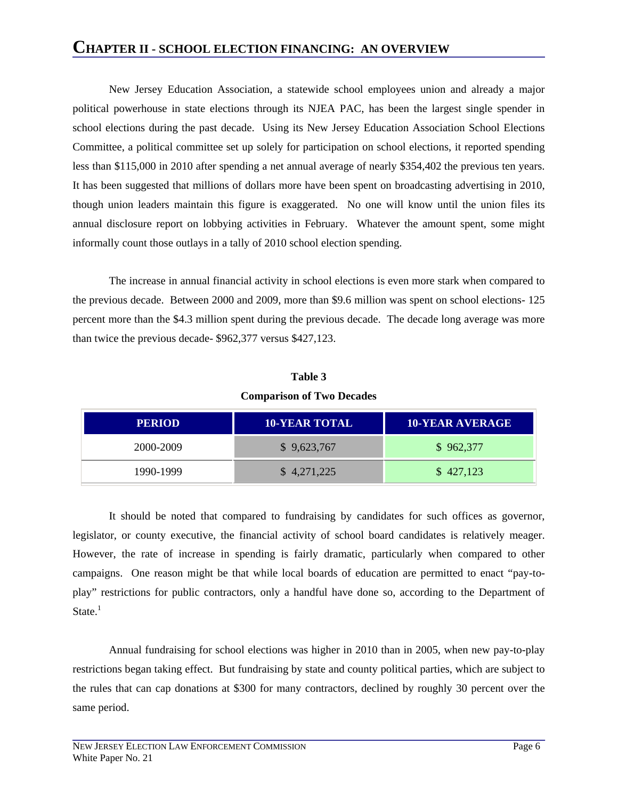### **CHAPTER II - SCHOOL ELECTION FINANCING: AN OVERVIEW**

 New Jersey Education Association, a statewide school employees union and already a major political powerhouse in state elections through its NJEA PAC, has been the largest single spender in school elections during the past decade. Using its New Jersey Education Association School Elections Committee, a political committee set up solely for participation on school elections, it reported spending less than \$115,000 in 2010 after spending a net annual average of nearly \$354,402 the previous ten years. It has been suggested that millions of dollars more have been spent on broadcasting advertising in 2010, though union leaders maintain this figure is exaggerated. No one will know until the union files its annual disclosure report on lobbying activities in February. Whatever the amount spent, some might informally count those outlays in a tally of 2010 school election spending.

 The increase in annual financial activity in school elections is even more stark when compared to the previous decade. Between 2000 and 2009, more than \$9.6 million was spent on school elections- 125 percent more than the \$4.3 million spent during the previous decade. The decade long average was more than twice the previous decade- \$962,377 versus \$427,123.

| Table 3                          |
|----------------------------------|
| <b>Comparison of Two Decades</b> |

| <b>PERIOD</b> | <b>10-YEAR TOTAL</b> | <b>10-YEAR AVERAGE</b> |
|---------------|----------------------|------------------------|
| 2000-2009     | \$9,623,767          | \$962,377              |
| 1990-1999     | \$4,271,225          | \$427,123              |

 It should be noted that compared to fundraising by candidates for such offices as governor, legislator, or county executive, the financial activity of school board candidates is relatively meager. However, the rate of increase in spending is fairly dramatic, particularly when compared to other campaigns. One reason might be that while local boards of education are permitted to enact "pay-toplay" restrictions for public contractors, only a handful have done so, according to the Department of State. $<sup>1</sup>$ </sup>

 Annual fundraising for school elections was higher in 2010 than in 2005, when new pay-to-play restrictions began taking effect. But fundraising by state and county political parties, which are subject to the rules that can cap donations at \$300 for many contractors, declined by roughly 30 percent over the same period.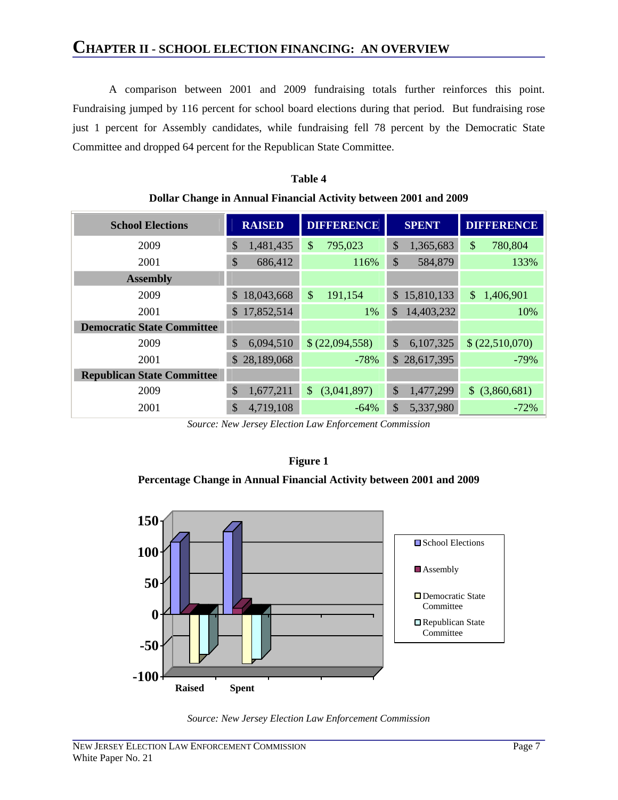A comparison between 2001 and 2009 fundraising totals further reinforces this point. Fundraising jumped by 116 percent for school board elections during that period. But fundraising rose just 1 percent for Assembly candidates, while fundraising fell 78 percent by the Democratic State Committee and dropped 64 percent for the Republican State Committee.

| <b>School Elections</b>           | <b>RAISED</b>    | <b>DIFFERENCE</b><br><b>SPENT</b> |                            | <b>DIFFERENCE</b> |
|-----------------------------------|------------------|-----------------------------------|----------------------------|-------------------|
| 2009                              | \$<br>1,481,435  | \$<br>795,023                     | \$<br>1,365,683            | \$<br>780,804     |
| 2001                              | \$<br>686,412    | 116%                              | \$<br>584,879              | 133%              |
| <b>Assembly</b>                   |                  |                                   |                            |                   |
| 2009                              | 18,043,668<br>\$ | \$<br>191,154                     | 15,810,133<br>$\mathbb{S}$ | \$<br>1,406,901   |
| 2001                              | 17,852,514<br>\$ | 1%                                | 14,403,232<br>$\mathbb{S}$ | 10%               |
| <b>Democratic State Committee</b> |                  |                                   |                            |                   |
| 2009                              | \$<br>6,094,510  | \$ (22,094,558)                   | \$<br>6,107,325            | \$ (22,510,070)   |
| 2001                              | \$28,189,068     | $-78%$                            | \$28,617,395               | $-79%$            |
| <b>Republican State Committee</b> |                  |                                   |                            |                   |
| 2009                              | \$<br>1,677,211  | (3,041,897)<br>$\mathbb{S}$       | \$<br>1,477,299            | $$$ (3,860,681)   |
| 2001                              | \$<br>4,719,108  | $-64%$                            | \$<br>5,337,980            | $-72%$            |

**Table 4 Dollar Change in Annual Financial Activity between 2001 and 2009** 

*Source: New Jersey Election Law Enforcement Commission* 

#### **Figure 1**

#### **Percentage Change in Annual Financial Activity between 2001 and 2009**



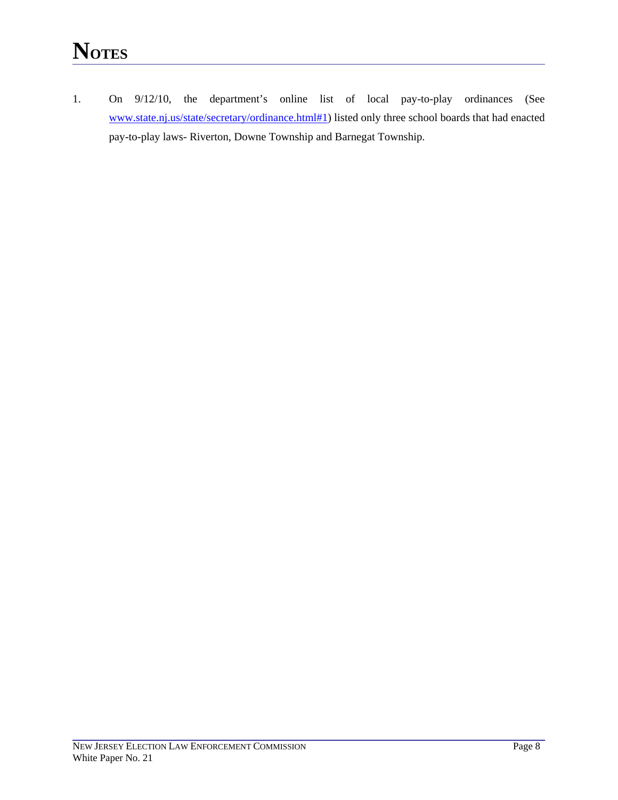1. On 9/12/10, the department's online list of local pay-to-play ordinances (See www.state.nj.us/state/secretary/ordinance.html#1) listed only three school boards that had enacted pay-to-play laws- Riverton, Downe Township and Barnegat Township.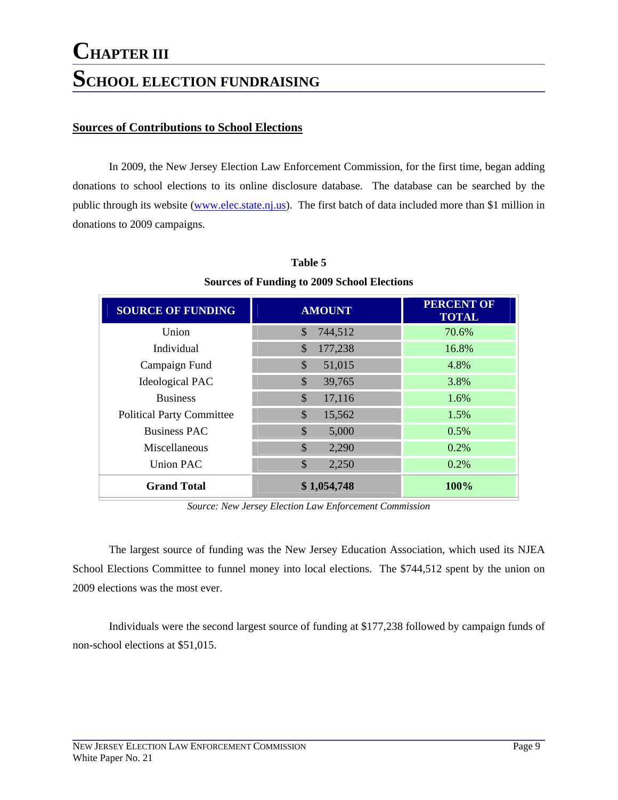### **CHAPTER III SCHOOL ELECTION FUNDRAISING**

#### **Sources of Contributions to School Elections**

 In 2009, the New Jersey Election Law Enforcement Commission, for the first time, began adding donations to school elections to its online disclosure database. The database can be searched by the public through its website (www.elec.state.nj.us). The first batch of data included more than \$1 million in donations to 2009 campaigns.

| <b>SOURCE OF FUNDING</b>         | <b>AMOUNT</b>            | <b>PERCENT OF</b><br><b>TOTAL</b> |
|----------------------------------|--------------------------|-----------------------------------|
| Union                            | 744,512<br>$\mathbb{S}$  | 70.6%                             |
| Individual                       | 177,238<br>$\mathcal{S}$ | 16.8%                             |
| Campaign Fund                    | $\mathbb{S}$<br>51,015   | 4.8%                              |
| <b>Ideological PAC</b>           | \$<br>39,765             | 3.8%                              |
| <b>Business</b>                  | 17,116<br>\$             | 1.6%                              |
| <b>Political Party Committee</b> | \$<br>15,562             | 1.5%                              |
| <b>Business PAC</b>              | $\mathcal{S}$<br>5,000   | 0.5%                              |
| Miscellaneous                    | $\mathcal{S}$<br>2,290   | 0.2%                              |
| <b>Union PAC</b>                 | \$<br>2,250              | 0.2%                              |
| <b>Grand Total</b>               | \$1,054,748              | 100%                              |

#### **Table 5**

#### **Sources of Funding to 2009 School Elections**

*Source: New Jersey Election Law Enforcement Commission* 

 The largest source of funding was the New Jersey Education Association, which used its NJEA School Elections Committee to funnel money into local elections. The \$744,512 spent by the union on 2009 elections was the most ever.

 Individuals were the second largest source of funding at \$177,238 followed by campaign funds of non-school elections at \$51,015.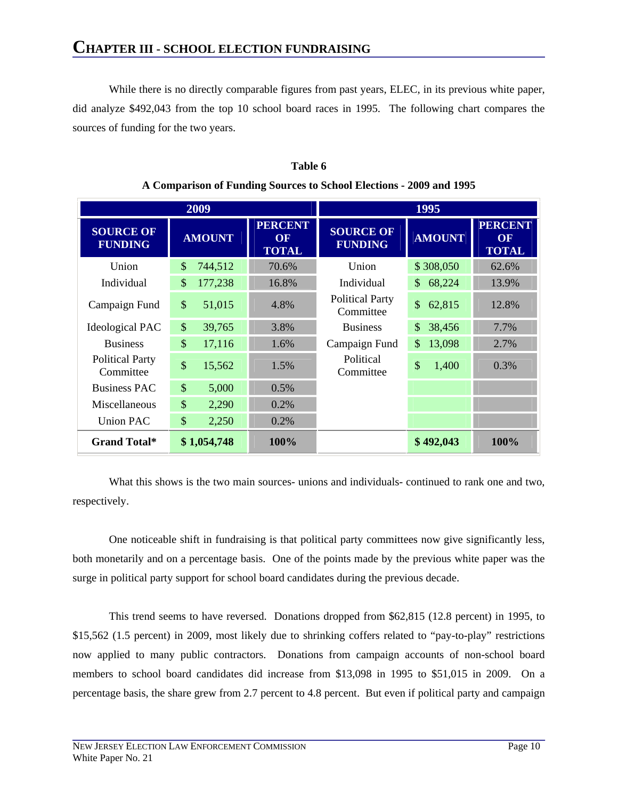While there is no directly comparable figures from past years, ELEC, in its previous white paper, did analyze \$492,043 from the top 10 school board races in 1995. The following chart compares the sources of funding for the two years.

|                                     | 2009                         |                                      | 1995                                |                         |                                      |
|-------------------------------------|------------------------------|--------------------------------------|-------------------------------------|-------------------------|--------------------------------------|
| <b>SOURCE OF</b><br><b>FUNDING</b>  | <b>AMOUNT</b>                | <b>PERCENT</b><br>OF<br><b>TOTAL</b> | <b>SOURCE OF</b><br><b>FUNDING</b>  | <b>AMOUNT</b>           | <b>PERCENT</b><br>OF<br><b>TOTAL</b> |
| Union                               | \$<br>744,512                | 70.6%                                | Union                               | \$308,050               | 62.6%                                |
| Individual                          | \$<br>177,238                | 16.8%                                | Individual                          | $\mathbb{S}$<br>68,224  | 13.9%                                |
| Campaign Fund                       | $\mathcal{S}$<br>51,015      | 4.8%                                 | <b>Political Party</b><br>Committee | \$<br>62,815            | 12.8%                                |
| <b>Ideological PAC</b>              | $\mathcal{S}$<br>39,765      | 3.8%                                 | <b>Business</b>                     | $\mathcal{S}$<br>38,456 | 7.7%                                 |
| <b>Business</b>                     | $\mathbf{\hat{S}}$<br>17,116 | 1.6%                                 | Campaign Fund                       | \$<br>13,098            | 2.7%                                 |
| <b>Political Party</b><br>Committee | $\mathbb{S}$<br>15,562       | 1.5%                                 | Political<br>Committee              | \$<br>1,400             | 0.3%                                 |
| <b>Business PAC</b>                 | $\mathbb{S}$<br>5,000        | 0.5%                                 |                                     |                         |                                      |
| Miscellaneous                       | $\mathbb{S}$<br>2,290        | 0.2%                                 |                                     |                         |                                      |
| <b>Union PAC</b>                    | $\mathbb{S}$<br>2,250        | 0.2%                                 |                                     |                         |                                      |
| <b>Grand Total*</b>                 | \$1,054,748                  | 100%                                 |                                     | \$492,043               | <b>100%</b>                          |

#### **Table 6 A Comparison of Funding Sources to School Elections - 2009 and 1995**

 What this shows is the two main sources- unions and individuals- continued to rank one and two, respectively.

 One noticeable shift in fundraising is that political party committees now give significantly less, both monetarily and on a percentage basis. One of the points made by the previous white paper was the surge in political party support for school board candidates during the previous decade.

 This trend seems to have reversed. Donations dropped from \$62,815 (12.8 percent) in 1995, to \$15,562 (1.5 percent) in 2009, most likely due to shrinking coffers related to "pay-to-play" restrictions now applied to many public contractors. Donations from campaign accounts of non-school board members to school board candidates did increase from \$13,098 in 1995 to \$51,015 in 2009. On a percentage basis, the share grew from 2.7 percent to 4.8 percent. But even if political party and campaign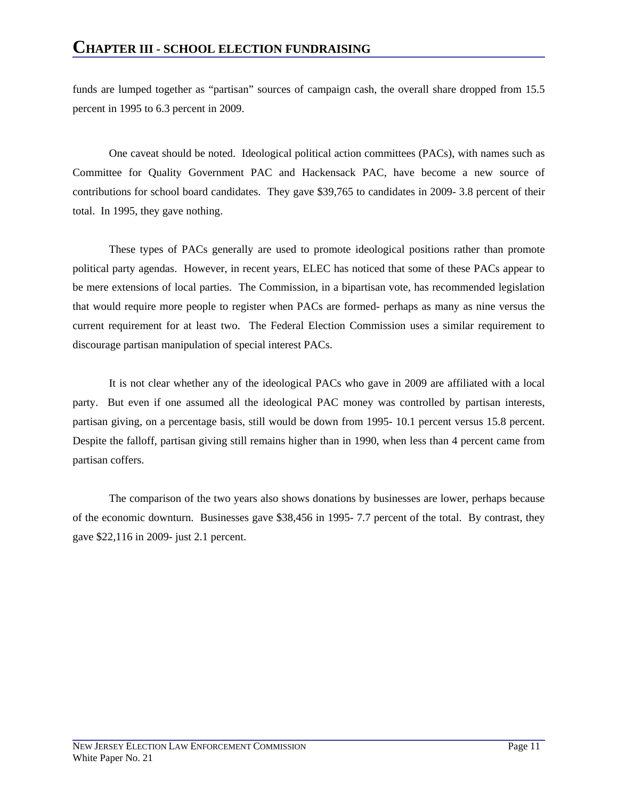funds are lumped together as "partisan" sources of campaign cash, the overall share dropped from 15.5 percent in 1995 to 6.3 percent in 2009.

 One caveat should be noted. Ideological political action committees (PACs), with names such as Committee for Quality Government PAC and Hackensack PAC, have become a new source of contributions for school board candidates. They gave \$39,765 to candidates in 2009- 3.8 percent of their total. In 1995, they gave nothing.

 These types of PACs generally are used to promote ideological positions rather than promote political party agendas. However, in recent years, ELEC has noticed that some of these PACs appear to be mere extensions of local parties. The Commission, in a bipartisan vote, has recommended legislation that would require more people to register when PACs are formed- perhaps as many as nine versus the current requirement for at least two. The Federal Election Commission uses a similar requirement to discourage partisan manipulation of special interest PACs.

 It is not clear whether any of the ideological PACs who gave in 2009 are affiliated with a local party. But even if one assumed all the ideological PAC money was controlled by partisan interests, partisan giving, on a percentage basis, still would be down from 1995- 10.1 percent versus 15.8 percent. Despite the falloff, partisan giving still remains higher than in 1990, when less than 4 percent came from partisan coffers.

 The comparison of the two years also shows donations by businesses are lower, perhaps because of the economic downturn. Businesses gave \$38,456 in 1995- 7.7 percent of the total. By contrast, they gave \$22,116 in 2009- just 2.1 percent.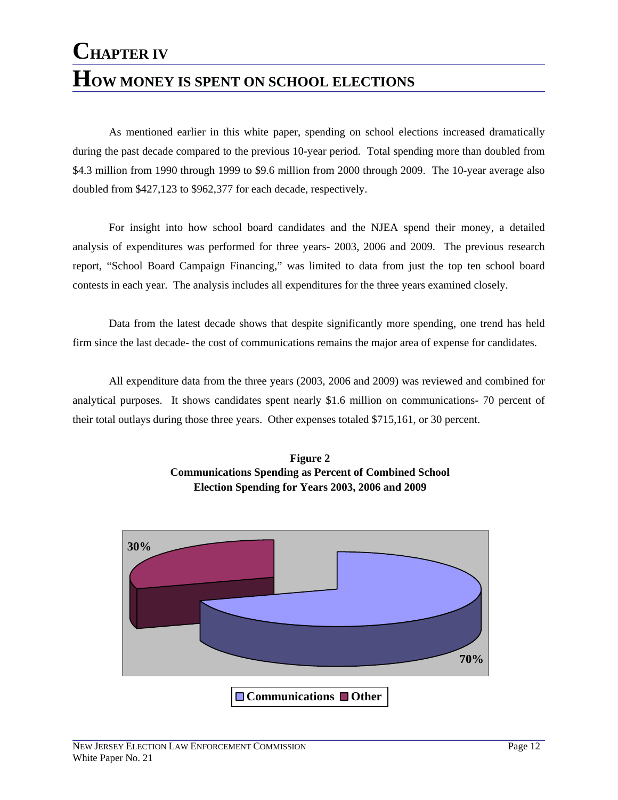### **CHAPTER IV HOW MONEY IS SPENT ON SCHOOL ELECTIONS**

 As mentioned earlier in this white paper, spending on school elections increased dramatically during the past decade compared to the previous 10-year period. Total spending more than doubled from \$4.3 million from 1990 through 1999 to \$9.6 million from 2000 through 2009. The 10-year average also doubled from \$427,123 to \$962,377 for each decade, respectively.

 For insight into how school board candidates and the NJEA spend their money, a detailed analysis of expenditures was performed for three years- 2003, 2006 and 2009. The previous research report, "School Board Campaign Financing," was limited to data from just the top ten school board contests in each year. The analysis includes all expenditures for the three years examined closely.

 Data from the latest decade shows that despite significantly more spending, one trend has held firm since the last decade- the cost of communications remains the major area of expense for candidates.

 All expenditure data from the three years (2003, 2006 and 2009) was reviewed and combined for analytical purposes. It shows candidates spent nearly \$1.6 million on communications- 70 percent of their total outlays during those three years. Other expenses totaled \$715,161, or 30 percent.



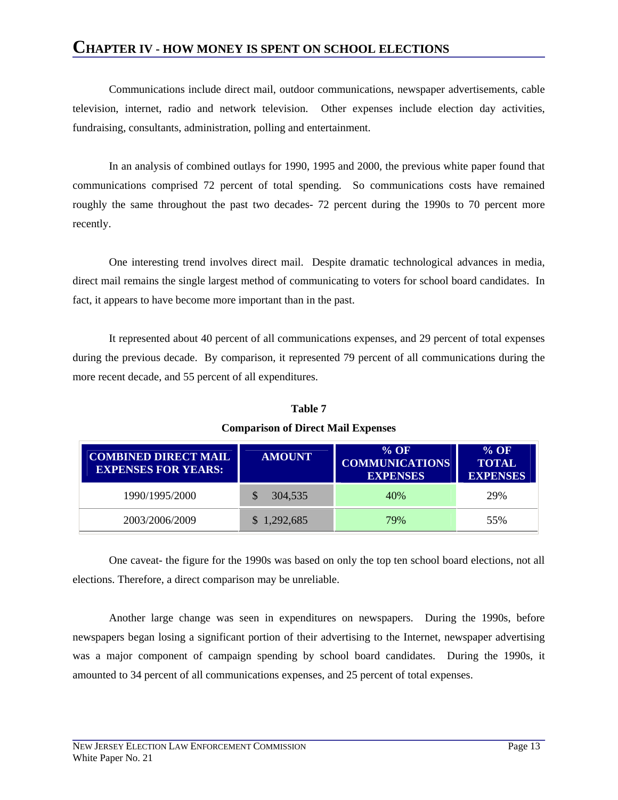### **CHAPTER IV - HOW MONEY IS SPENT ON SCHOOL ELECTIONS**

 Communications include direct mail, outdoor communications, newspaper advertisements, cable television, internet, radio and network television. Other expenses include election day activities, fundraising, consultants, administration, polling and entertainment.

 In an analysis of combined outlays for 1990, 1995 and 2000, the previous white paper found that communications comprised 72 percent of total spending. So communications costs have remained roughly the same throughout the past two decades- 72 percent during the 1990s to 70 percent more recently.

 One interesting trend involves direct mail. Despite dramatic technological advances in media, direct mail remains the single largest method of communicating to voters for school board candidates. In fact, it appears to have become more important than in the past.

 It represented about 40 percent of all communications expenses, and 29 percent of total expenses during the previous decade. By comparison, it represented 79 percent of all communications during the more recent decade, and 55 percent of all expenditures.

| <b>COMBINED DIRECT MAIL</b><br><b>EXPENSES FOR YEARS:</b> | <b>AMOUNT</b> | $%$ OF<br><b>COMMUNICATIONS</b><br><b>EXPENSES</b> | $\%$ OF<br><b>TOTAL</b><br><b>EXPENSES</b> |
|-----------------------------------------------------------|---------------|----------------------------------------------------|--------------------------------------------|
| 1990/1995/2000                                            | 304,535       | 40%                                                | 29%                                        |
| 2003/2006/2009                                            | \$1,292,685   | 79%                                                | 55%                                        |

**Table 7 Comparison of Direct Mail Expenses** 

 One caveat- the figure for the 1990s was based on only the top ten school board elections, not all elections. Therefore, a direct comparison may be unreliable.

 Another large change was seen in expenditures on newspapers. During the 1990s, before newspapers began losing a significant portion of their advertising to the Internet, newspaper advertising was a major component of campaign spending by school board candidates. During the 1990s, it amounted to 34 percent of all communications expenses, and 25 percent of total expenses.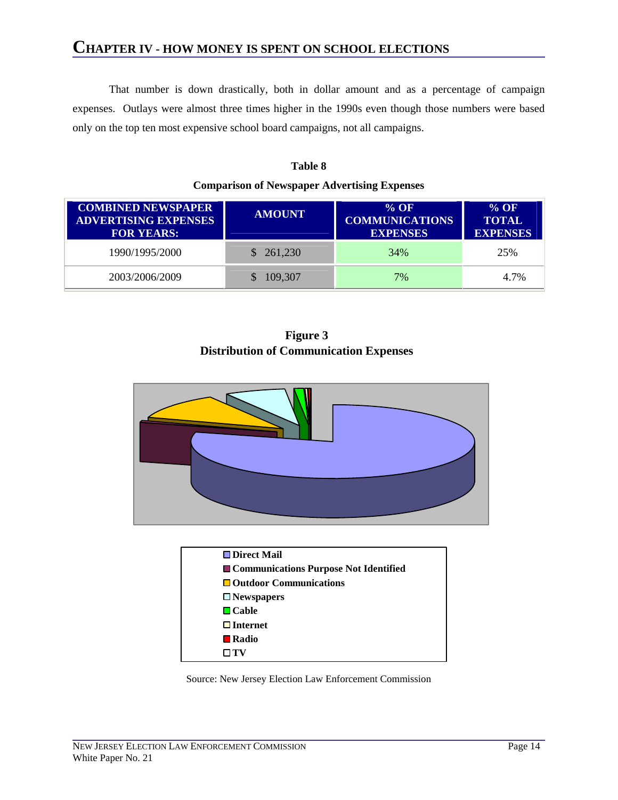### **CHAPTER IV - HOW MONEY IS SPENT ON SCHOOL ELECTIONS**

 That number is down drastically, both in dollar amount and as a percentage of campaign expenses. Outlays were almost three times higher in the 1990s even though those numbers were based only on the top ten most expensive school board campaigns, not all campaigns.

| <b>COMBINED NEWSPAPER</b><br><b>ADVERTISING EXPENSES</b><br><b>FOR YEARS:</b> | <b>AMOUNT</b> | $%$ OF<br><b>COMMUNICATIONS</b><br><b>EXPENSES</b> | $%$ OF<br><b>TOTAL</b><br><b>EXPENSES</b> |
|-------------------------------------------------------------------------------|---------------|----------------------------------------------------|-------------------------------------------|
| 1990/1995/2000                                                                | \$261,230     | 34%                                                | 25%                                       |
| 2003/2006/2009                                                                | 109,307       | 7%                                                 | 4.7%                                      |

### **Table 8 Comparison of Newspaper Advertising Expenses**

**Figure 3 Distribution of Communication Expenses**





Source: New Jersey Election Law Enforcement Commission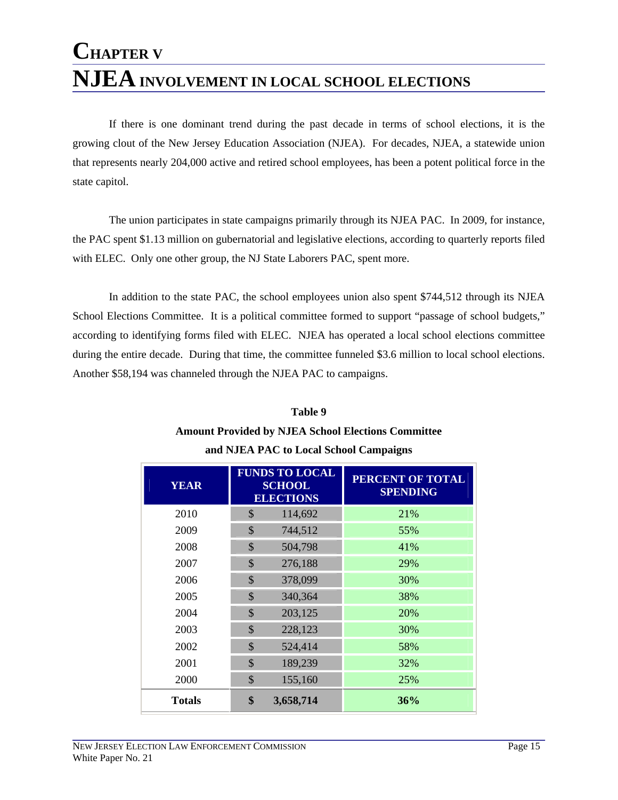### **CHAPTER V NJEA INVOLVEMENT IN LOCAL SCHOOL ELECTIONS**

 If there is one dominant trend during the past decade in terms of school elections, it is the growing clout of the New Jersey Education Association (NJEA). For decades, NJEA, a statewide union that represents nearly 204,000 active and retired school employees, has been a potent political force in the state capitol.

 The union participates in state campaigns primarily through its NJEA PAC. In 2009, for instance, the PAC spent \$1.13 million on gubernatorial and legislative elections, according to quarterly reports filed with ELEC. Only one other group, the NJ State Laborers PAC, spent more.

 In addition to the state PAC, the school employees union also spent \$744,512 through its NJEA School Elections Committee. It is a political committee formed to support "passage of school budgets," according to identifying forms filed with ELEC. NJEA has operated a local school elections committee during the entire decade. During that time, the committee funneled \$3.6 million to local school elections. Another \$58,194 was channeled through the NJEA PAC to campaigns.

### **Table 9 Amount Provided by NJEA School Elections Committee and NJEA PAC to Local School Campaigns**

| <b>YEAR</b>   | <b>FUNDS TO LOCAL</b><br><b>SCHOOL</b><br><b>ELECTIONS</b> |           | PERCENT OF TOTAL<br><b>SPENDING</b> |
|---------------|------------------------------------------------------------|-----------|-------------------------------------|
| 2010          | \$                                                         | 114,692   | 21%                                 |
| 2009          | $\mathcal{S}$                                              | 744,512   | 55%                                 |
| 2008          | $\mathbb{S}$                                               | 504,798   | 41%                                 |
| 2007          | $\mathbb{S}$                                               | 276,188   | 29%                                 |
| 2006          | $\mathcal{S}$                                              | 378,099   | 30%                                 |
| 2005          | \$                                                         | 340,364   | 38%                                 |
| 2004          | $\mathcal{S}$                                              | 203,125   | 20%                                 |
| 2003          | $\mathbb{S}$                                               | 228,123   | 30%                                 |
| 2002          | $\mathcal{S}$                                              | 524,414   | 58%                                 |
| 2001          | $\mathcal{S}$                                              | 189,239   | 32%                                 |
| 2000          | \$                                                         | 155,160   | 25%                                 |
| <b>Totals</b> | \$                                                         | 3,658,714 | 36%                                 |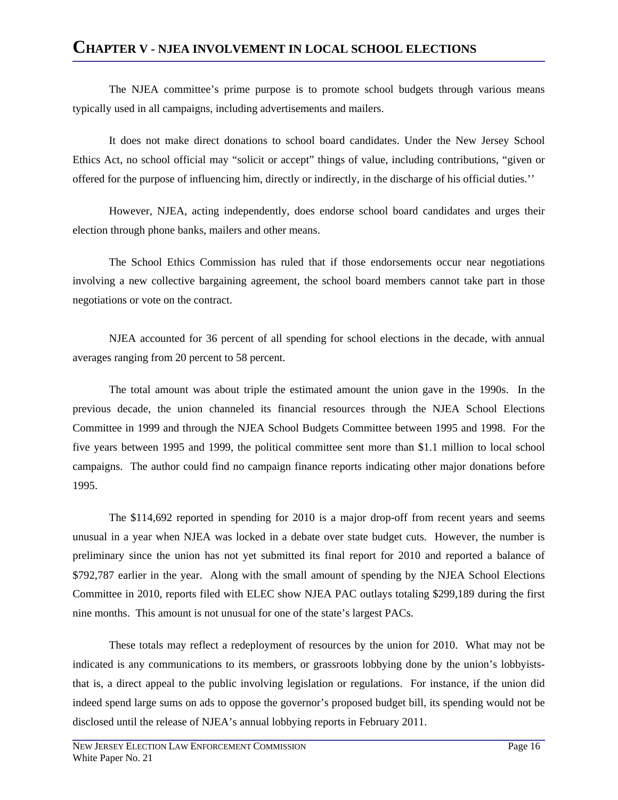The NJEA committee's prime purpose is to promote school budgets through various means typically used in all campaigns, including advertisements and mailers.

 It does not make direct donations to school board candidates. Under the New Jersey School Ethics Act, no school official may "solicit or accept" things of value, including contributions, "given or offered for the purpose of influencing him, directly or indirectly, in the discharge of his official duties.''

 However, NJEA, acting independently, does endorse school board candidates and urges their election through phone banks, mailers and other means.

 The School Ethics Commission has ruled that if those endorsements occur near negotiations involving a new collective bargaining agreement, the school board members cannot take part in those negotiations or vote on the contract.

 NJEA accounted for 36 percent of all spending for school elections in the decade, with annual averages ranging from 20 percent to 58 percent.

The total amount was about triple the estimated amount the union gave in the 1990s. In the previous decade, the union channeled its financial resources through the NJEA School Elections Committee in 1999 and through the NJEA School Budgets Committee between 1995 and 1998. For the five years between 1995 and 1999, the political committee sent more than \$1.1 million to local school campaigns. The author could find no campaign finance reports indicating other major donations before 1995.

The \$114,692 reported in spending for 2010 is a major drop-off from recent years and seems unusual in a year when NJEA was locked in a debate over state budget cuts. However, the number is preliminary since the union has not yet submitted its final report for 2010 and reported a balance of \$792,787 earlier in the year. Along with the small amount of spending by the NJEA School Elections Committee in 2010, reports filed with ELEC show NJEA PAC outlays totaling \$299,189 during the first nine months. This amount is not unusual for one of the state's largest PACs.

 These totals may reflect a redeployment of resources by the union for 2010. What may not be indicated is any communications to its members, or grassroots lobbying done by the union's lobbyiststhat is, a direct appeal to the public involving legislation or regulations. For instance, if the union did indeed spend large sums on ads to oppose the governor's proposed budget bill, its spending would not be disclosed until the release of NJEA's annual lobbying reports in February 2011.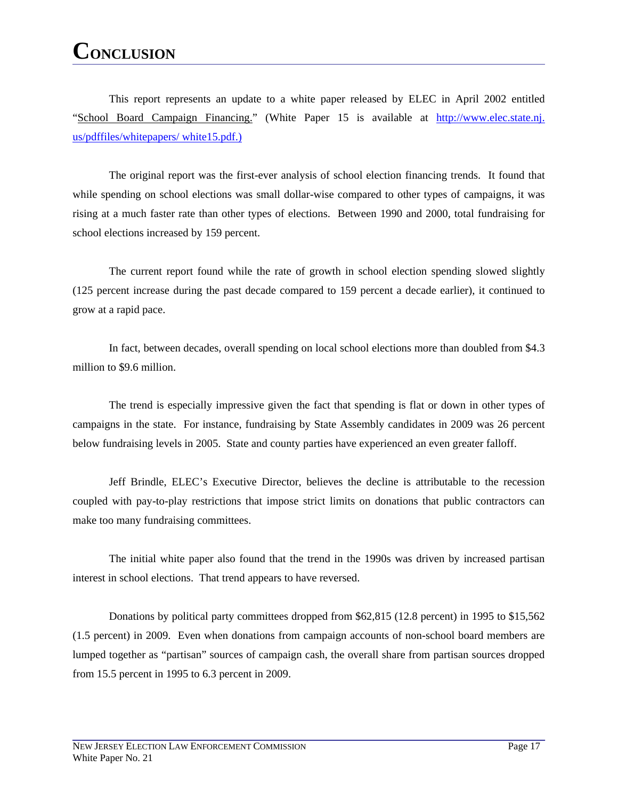### **CONCLUSION**

This report represents an update to a white paper released by ELEC in April 2002 entitled "School Board Campaign Financing." (White Paper 15 is available at http://www.elec.state.nj. us/pdffiles/whitepapers/ white15.pdf.)

The original report was the first-ever analysis of school election financing trends. It found that while spending on school elections was small dollar-wise compared to other types of campaigns, it was rising at a much faster rate than other types of elections. Between 1990 and 2000, total fundraising for school elections increased by 159 percent.

The current report found while the rate of growth in school election spending slowed slightly (125 percent increase during the past decade compared to 159 percent a decade earlier), it continued to grow at a rapid pace.

In fact, between decades, overall spending on local school elections more than doubled from \$4.3 million to \$9.6 million.

The trend is especially impressive given the fact that spending is flat or down in other types of campaigns in the state. For instance, fundraising by State Assembly candidates in 2009 was 26 percent below fundraising levels in 2005. State and county parties have experienced an even greater falloff.

Jeff Brindle, ELEC's Executive Director, believes the decline is attributable to the recession coupled with pay-to-play restrictions that impose strict limits on donations that public contractors can make too many fundraising committees.

The initial white paper also found that the trend in the 1990s was driven by increased partisan interest in school elections. That trend appears to have reversed.

Donations by political party committees dropped from \$62,815 (12.8 percent) in 1995 to \$15,562 (1.5 percent) in 2009. Even when donations from campaign accounts of non-school board members are lumped together as "partisan" sources of campaign cash, the overall share from partisan sources dropped from 15.5 percent in 1995 to 6.3 percent in 2009.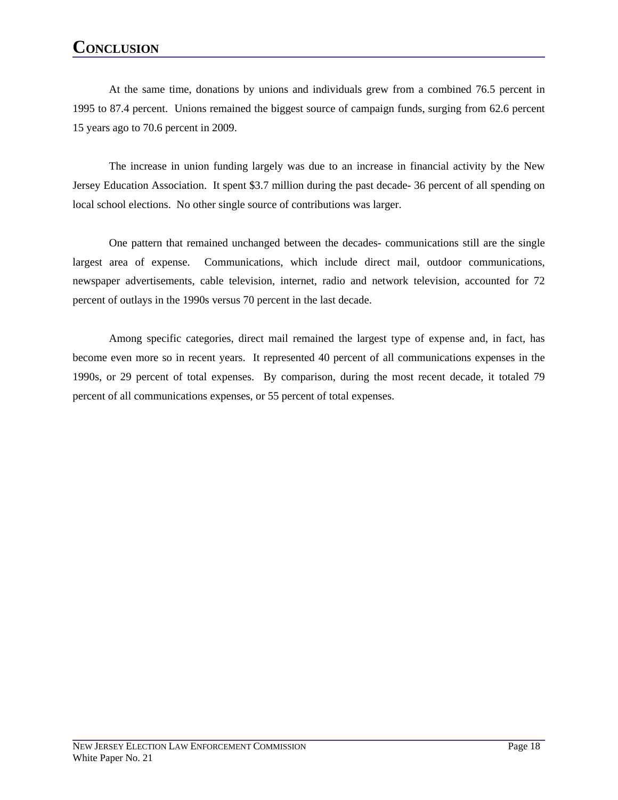### **CONCLUSION**

At the same time, donations by unions and individuals grew from a combined 76.5 percent in 1995 to 87.4 percent. Unions remained the biggest source of campaign funds, surging from 62.6 percent 15 years ago to 70.6 percent in 2009.

The increase in union funding largely was due to an increase in financial activity by the New Jersey Education Association. It spent \$3.7 million during the past decade- 36 percent of all spending on local school elections. No other single source of contributions was larger.

One pattern that remained unchanged between the decades- communications still are the single largest area of expense. Communications, which include direct mail, outdoor communications, newspaper advertisements, cable television, internet, radio and network television, accounted for 72 percent of outlays in the 1990s versus 70 percent in the last decade.

Among specific categories, direct mail remained the largest type of expense and, in fact, has become even more so in recent years. It represented 40 percent of all communications expenses in the 1990s, or 29 percent of total expenses. By comparison, during the most recent decade, it totaled 79 percent of all communications expenses, or 55 percent of total expenses.